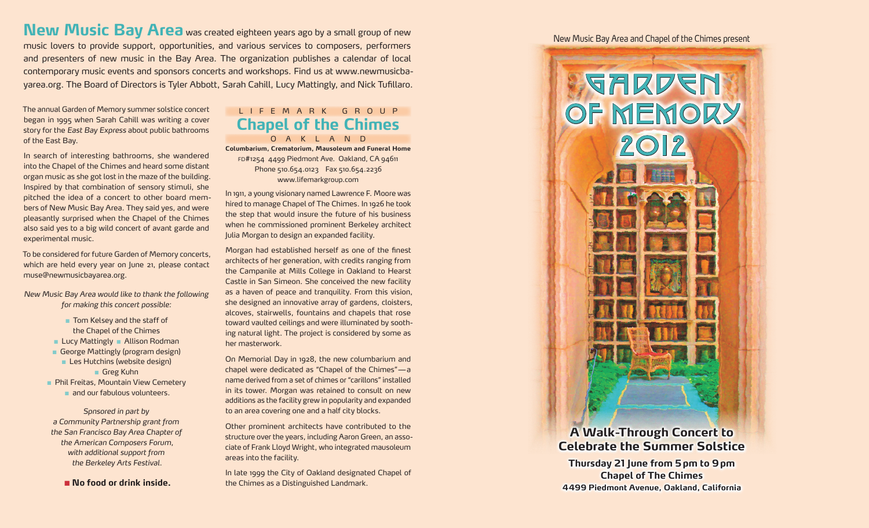**New Music Bay Area** was created eighteen years ago by a small group of new music lovers to provide support, opportunities, and various services to composers, performers and presenters of new music in the Bay Area. The organization publishes a calendar of local contemporary music events and sponsors concerts and workshops. Find us at www.newmusicbayarea.org. The Board of Directors is Tyler Abbott, Sarah Cahill, Lucy Mattingly, and Nick Tufillaro.

The annual Garden of Memory summer solstice concert began in 1995 when Sarah Cahill was writing a cover story for the *East Bay Express* about public bathrooms of the East Bay.

In search of interesting bathrooms, she wandered into the Chapel of the Chimes and heard some distant organ music as she got lost in the maze of the building. Inspired by that combination of sensory stimuli, she pitched the idea of a concert to other board members of New Music Bay Area. They said yes, and were pleasantly surprised when the Chapel of the Chimes also said yes to a big wild concert of avant garde and experimental music.

To be considered for future Garden of Memory concerts, which are held every year on June 21, please contact muse@newmusicbayarea.org.

*New Music Bay Area would like to thank the following for making this concert possible:*

> n Tom Kelsey and the staff of the Chapel of the Chimes

 $\blacksquare$  Lucy Mattingly  $\blacksquare$  Allison Rodman

George Mattingly (program design) ■ Les Hutchins (website design) Greg Kuhn

**n Phil Freitas, Mountain View Cemetery** n and our fabulous volunteers.

*Spnsored in part by a Community Partnership grant from the San Francisco Bay Area Chapter of the American Composers Forum, with additional support from the Berkeley Arts Festival.*

■ No food or drink inside.

## LIFEMARK GROUP **Chapel of the Chimes**

OAKLAND **Columbarium, Crematorium, Mausoleum and Funeral Home** fd#1254 4499 Piedmont Ave. Oakland, CA 94611 Phone 510.654.0123 Fax 510.654.2236 www.lifemarkgroup.com

In 1911, a young visionary named Lawrence F. Moore was hired to manage Chapel of The Chimes. In 1926 he took the step that would insure the future of his business when he commissioned prominent Berkeley architect Julia Morgan to design an expanded facility.

Morgan had established herself as one of the finest architects of her generation, with credits ranging from the Campanile at Mills College in Oakland to Hearst Castle in San Simeon. She conceived the new facility as a haven of peace and tranquility. From this vision, she designed an innovative array of gardens, cloisters, alcoves, stairwells, fountains and chapels that rose toward vaulted ceilings and were illuminated by soothing natural light. The project is considered by some as her masterwork.

On Memorial Day in 1928, the new columbarium and chapel were dedicated as "Chapel of the Chimes"—a name derived from a set of chimes or "carillons" installed in its tower. Morgan was retained to consult on new additions as the facility grew in popularity and expanded to an area covering one and a half city blocks.

Other prominent architects have contributed to the structure over the years, including Aaron Green, an associate of Frank Lloyd Wright, who integrated mausoleum areas into the facility.

In late 1999 the City of Oakland designated Chapel of the Chimes as a Distinguished Landmark.

New Music Bay Area and Chapel of the Chimes present



## **Celebrate the Summer Solstice**

**Thursday 21 June from 5pm to 9pm Chapel of The Chimes 4499 Piedmont Avenue, Oakland, California**